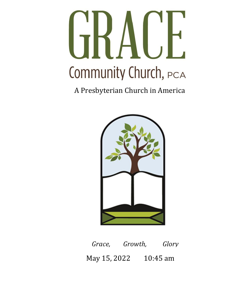

A Presbyterian Church in America



Grace, Growth, Glory May 15, 2022 10:45 am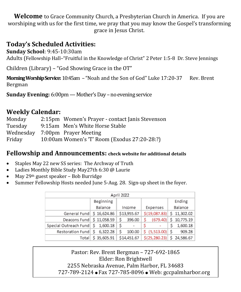**Welcome** to Grace Community Church, a Presbyterian Church in America. If you are worshiping with us for the first time, we pray that you may know the Gospel's transforming grace in Jesus Christ.

### **Today's Scheduled Activities:**

**Sunday School**: 9:45-10:30am

Adults (Fellowship Hall–"Fruitful in the Knowledge of Christ" 2 Peter 1:5-8 Dr. Steve Jennings

Children (Library) – "God Showing Grace in the OT"

**Morning Worship Service:** 10:45am – "Noah and the Son of God" Luke 17:20-37 Rev. Brent Bergman

**Sunday Evening:** 6:00pm — Mother's Day – no evening service

### **Weekly Calendar:**

| Monday    | 2:15pm Women's Prayer - contact Janis Stevenson |
|-----------|-------------------------------------------------|
| Tuesday   | 9:15am Men's White Horse Stable                 |
| Wednesday | 7:00pm Prayer Meeting                           |
| Friday    | 10:00am Women's 'T' Room (Exodus 27:20-28:?)    |

#### **Fellowship and Announcements: check website for additional details**

- Staples May 22 new SS series: The Archway of Truth
- Ladies Monthly Bible Study May27th 6:30 @ Laurie
- May 29<sup>th</sup> guest speaker Bob Burridge
- Summer Fellowship Hosts needed June 5-Aug. 28. Sign-up sheet in the foyer.

| April 2022                        |             |                               |                                                   |                         |  |  |  |
|-----------------------------------|-------------|-------------------------------|---------------------------------------------------|-------------------------|--|--|--|
|                                   | Beginning   |                               |                                                   | Ending                  |  |  |  |
|                                   | Balance     | Income                        | Expenses                                          | Balance                 |  |  |  |
| General Fund \$ 16,624.86         |             | \$13,955.67                   | $\frac{1}{2}$ (19,087.83) $\frac{1}{2}$ 11,302.02 |                         |  |  |  |
| Deacons Fund \$ 11,058.59         |             | 396.00<br>Ś.                  | Ś                                                 | $(679.40)$ \$ 10,775.19 |  |  |  |
| Special Outreach Fund \$ 1,600.18 |             | S<br>$\overline{\phantom{a}}$ |                                                   | 1,600.18                |  |  |  |
| Restoration Fund \$ 6,322.28      |             | Ś<br>100.00                   | \$ (5,513.00) \$                                  | 909.28                  |  |  |  |
| Total                             | \$35,605.91 | \$14,451.67                   | $\frac{1}{2}$ (25,280.23) \$ 24,586.67            |                         |  |  |  |

Pastor: Rev. Brent Bergman – 727-692-1865 Elder: Ron Brightwell 2255 Nebraska Avenue, Palm Harbor, FL 34683 727-789-2124 ● Fax 727-785-8096 ● Web: gccpalmharbor.org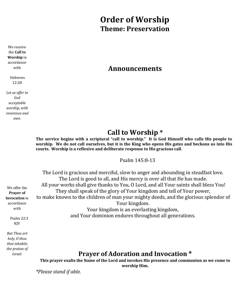# **Order of Worship Theme: Preservation**

We receive the **Call to Worship** in accordance with

> Hebrews 12:28

*Let us offer to God acceptable worship, with reverence and awe.*

*Israel.*

#### **Announcements**

### **Call to Worship \***

**The service begins with a scriptural "call to worship." It is God Himself who calls His people to worship. We do not call ourselves, but it is the King who opens His gates and beckons us into His courts. Worship is a reflexive and deliberate response to His gracious call**.

Psalm 145:8-13

| We offer the<br>Prayer of<br><b>Invocation</b> in<br>accordance<br>with<br>Psalm $22:3$ | The Lord is gracious and merciful, slow to anger and abounding in steadfast love.<br>The Lord is good to all, and His mercy is over all that He has made.<br>All your works shall give thanks to You, O Lord, and all Your saints shall bless You!<br>They shall speak of the glory of Your kingdom and tell of Your power,<br>to make known to the children of man your mighty deeds, and the glorious splendor of<br>Your kingdom.<br>Your kingdom is an everlasting kingdom,<br>and Your dominion endures throughout all generations. |
|-----------------------------------------------------------------------------------------|------------------------------------------------------------------------------------------------------------------------------------------------------------------------------------------------------------------------------------------------------------------------------------------------------------------------------------------------------------------------------------------------------------------------------------------------------------------------------------------------------------------------------------------|
| KJV                                                                                     |                                                                                                                                                                                                                                                                                                                                                                                                                                                                                                                                          |
| But Thou art                                                                            |                                                                                                                                                                                                                                                                                                                                                                                                                                                                                                                                          |
| holy, O thou                                                                            |                                                                                                                                                                                                                                                                                                                                                                                                                                                                                                                                          |
| that inhabits                                                                           |                                                                                                                                                                                                                                                                                                                                                                                                                                                                                                                                          |
| the praises of                                                                          |                                                                                                                                                                                                                                                                                                                                                                                                                                                                                                                                          |

### **Prayer of Adoration and Invocation \***

**This prayer exalts the Name of the Lord and invokes His presence and communion as we come to** 

**worship Him.**

*\*Please stand if able.*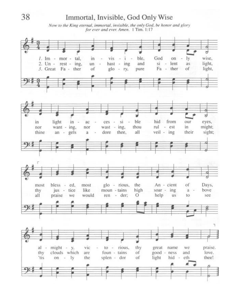#### Immortal, Invisible, God Only Wise

Now to the King eternal, immortal, invisible, the only God, be honor and glory for ever and ever. Amen. 1 Tim. 1:17

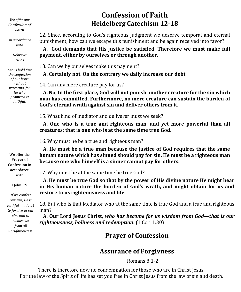*We offer our Confession of Faith*

*in accordance with*

> *Hebrews 10:23*

*Let us hold fast the confession of our hope without wavering, for He who promised is faithful.*

## **Confession of Faith Heidelberg Catechism 12-18**

12. Since, according to God's righteous judgment we deserve temporal and eternal punishment, how can we escape this punishment and be again received into favor?

**A. God demands that His justice be satisfied. Therefore we must make full payment, either by ourselves or through another.**

13. Can we by ourselves make this payment?

**A. Certainly not. On the contrary we daily increase our debt.**

14. Can any mere creature pay for us?

**A. No, In the first place, God will not punish another creature for the sin which man has committed. Furthermore, no mere creature can sustain the burden of God's eternal wrath against sin and deliver others from it.**

15. What kind of mediator and deliverer must we seek?

**A. One who is a true and righteous man, and yet more powerful than all creatures; that is one who is at the same time true God.**

16. Why must he be a true and righteous man?

**A. He must be a true man because the justice of God requires that the same human nature which has sinned should pay for sin. He must be a righteous man because one who himself is a sinner cannot pay for others.**

17. Why must he at the same time be true God?

**A. He must be true God so that by the power of His divine nature He might bear in His human nature the burden of God's wrath, and might obtain for us and restore to us righteousness and life.**

18. But who is that Mediator who at the same time is true God and a true and righteous man?

**A. Our Lord Jesus Christ,** *who has become for us wisdom from God—that is our righteousness, holiness and redemption***.** (1 Cor. 1:30)

### **Prayer of Confession**

### **Assurance of Forgivness**

Romans 8:1-2

There is therefore now no condemnation for those who are in Christ Jesus. For the law of the Spirit of life has set you free in Christ Jesus from the law of sin and death.

We offer the **Prayer of Confession** in accordance with

I John 1:9

*If we confess our sins, He is faithful and just to forgive us our sins and to cleanse us from all unrighteousess.*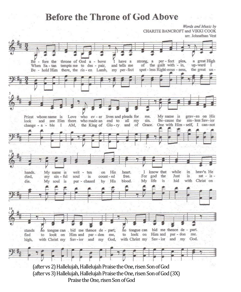### **Before the Throne of God Above**

**Provident Park** 

Words and Music by CHARITE BANCROFT and VIKKI COOK arr. Johnathan Vest - fore the per-fect plea, throne of God a - bove have a strong, a a great High  $Re$ T and tells me When Sa-tan tempts me to des - pair, of the guilt with - in, up-ward spot - less Right-eous - ness, the great un-Be - hold Him there, the ris - en Lamb, my per-fect My name is Love who ev - er lives and pleads for grav-en on His me. Priest whose name is and see Him there who made an end to all my Be-cause the sin-less Sav-ior look sin. Grace. One with Him - self, I can-not change - a - ble I AM, the King of Glo-ry and of I know that while in heav'n He My name is His heart. hands. writ - ten on Just  $sat - is$ died. my sin - ful soul  $is$ count - ed free. For god the is Christ on life is hid with die. is pur - chased His blood. My My soul by stands no tongue can , bid me thence de - part; no tongue can bid me thence de part. look on Him and par - don me. look on Him and par - don me, to fied to with Christ my Sav-ior and my God. high, with Christ my Sav-ior and my God,

(after vs 2) Hallelujah, Hallelujah Praise the One, risen Son of God (aftervs 3) Hallelujah, Hallelujah Praise the One, risen Son of God (3X) Praise the One, risen Son of God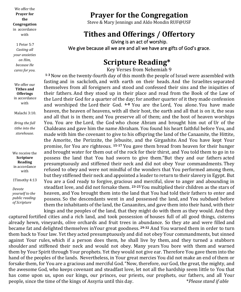We offer the **Prayer for the Congregation** in accordance with

1 Peter 5:7 *Casting all your anxieties on Him, because He cares for you.*

We offer our **Tithes and Offerings** in accordance with

Malachi 3:10.

*Bring the full tithe into the storehouse.*

We receive the **Scripture Reading** in accordance with

1Timothy 4:13

*Devote yourself to the public reading of Scripture*

# **Prayer for the Congregation**

Steve & Mary Jennings and Aldo Mondin RUF@USF

### **Tithes and Offerings / Offertory**

Giving is an act of worship.

We give because all we are and all we have are gifts of God's grace.

### **Scripture Reading\***

Key Verses from Nehemiah 9

**1-3**Now on the twenty-fourth day of this month the people of Israel were assembled with fasting and in sackcloth, and with earth on their heads. And the Israelites separated themselves from all foreigners and stood and confessed their sins and the iniquities of their fathers. And they stood up in their place and read from the Book of the Law of the Lord their God for a quarter of the day; for another quarter of it they made confession and worshiped the Lord their God. **6-8** You are the Lord, You alone. You have made heaven, the heaven of heavens, with all their host, the earth and all that is on it, the seas and all that is in them; and You preserve all of them; and the host of heaven worships You. You are the Lord, the God who chose Abram and brought him out of Ur of the Chaldeans and gave him the name Abraham. You found his heart faithful before You, and made with him the covenant to give to his offspring the land of the Canaanite, the Hittite, the Amorite, the Perizzite, the Jebusite, and the Girgashite. And You have kept Your promise, for You are righteous. **15-17** You gave them bread from heaven for their hunger and brought water for them out of the rock for their thirst, and You told them to go in to possess the land that You had sworn to give them."But they and our fathers acted presumptuously and stiffened their neck and did not obey Your commandments. They refused to obey and were not mindful of the wonders that You performed among them, but they stiffened their neck and appointed a leader to return to their slavery in Egypt. But You are a God ready to forgive, gracious and merciful, slow to anger and abounding in steadfast love, and did not forsake them. **23-25** You multiplied their children as the stars of heaven, and You brought them into the land that You had told their fathers to enter and possess. So the descendants went in and possessed the land, and You subdued before them the inhabitants of the land, the Canaanites, and gave them into their hand, with their kings and the peoples of the land, that they might do with them as they would. And they

captured fortified cities and a rich land, and took possession of houses full of all good things, cisterns already hewn, vineyards, olive orchards and fruit trees in abundance. So they ate and were filled and became fat and delighted themselves inYour great goodness. **29-32** And You warned them in order to turn them back to Your law. Yet they acted presumptuously and did not obey Your commandments, but sinned against Your rules, which if a person does them, he shall live by them, and they turned a stubborn shoulder and stiffened their neck and would not obey. Many years You bore with them and warned them by Your Spirit through Your prophets. Yet they would not give ear. Therefore You gave them into the hand of the peoples of the lands. Nevertheless, in Your great mercies You did not make an end of them or forsake them, for You are a gracious and merciful God."Now, therefore, our God, the great, the mighty, and the awesome God, who keeps covenant and steadfast love, let not all the hardship seem little to You that has come upon us, upon our kings, our princes, our priests, our prophets, our fathers, and all Your people, since the time of the kings of Assyria until this day. \**Please stand if able*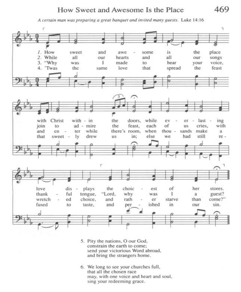#### How Sweet and Awesome Is the Place

469

A certain man was preparing a great banquet and invited many guests. Luke 14:16



- 5. Pity the nations, O our God, constrain the earth to come: send your victorious Word abroad, and bring the strangers home.
- 6. We long to see your churches full, that all the chosen race may, with one voice and heart and soul, sing your redeeming grace.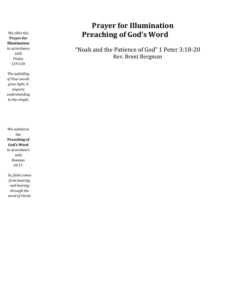We offer the **Prayer for Illumination** in accordance with Psalm 119:130

*The unfolding of Your words gives light; it imparts understanding to the simple.*

We submit to the **Preaching of God's Word**  in accordance with Romans 10:17.

*So, faith comes from hearing, and hearing through the word of Christ.*

# **Prayer for Illumination Preaching of God's Word**

"Noah and the Patience of God" 1 Peter 3:18-20 Rev. Brent Bergman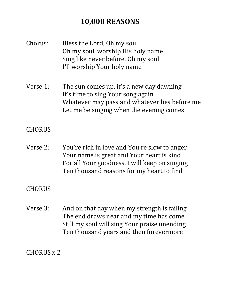### **10,000 REASONS**

- Chorus: Bless the Lord, Oh my soul Oh my soul, worship His holy name Sing like never before, Oh my soul I'll worship Your holy name
- Verse 1: The sun comes up, it's a new day dawning It's time to sing Your song again Whatever may pass and whatever lies before me Let me be singing when the evening comes

### **CHORUS**

 Verse 2: You're rich in love and You're slow to anger Your name is great and Your heart is kind For all Your goodness, I will keep on singing Ten thousand reasons for my heart to find

### **CHORUS**

 Verse 3: And on that day when my strength is failing The end draws near and my time has come Still my soul will sing Your praise unending Ten thousand years and then forevermore

CHORUS x 2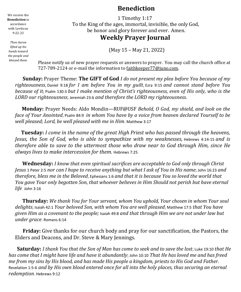**Benediction**

1 Timothy 1:17 To the King of the ages, immortal, invisible, the only God, be honor and glory forever and ever. Amen.

#### **Weekly Prayer Journal**

(May 15 – May 21, 2022)

Please notify us of new prayer requests or answers to prayer. You may call the church office at 727-789-2124 or e-mail the information to faithkeeper77@juno.com.

 **Sunday:** Prayer Theme: **The GIFT of God** *I do not present my plea before You because of my righteousness*, Daniel 9:18 *for I am before You in my guilt*, Ezra 9:15 *and cannot stand before You because of it*; Psalm 130:3 *but I make mention of Christ's righteousness, even of His only, who is the LORD our righteousness*, Jeremiah 23:6 *and therefore the LORD my righteousness.*

 **Monday:** Prayer Needs: Aldo Mondin—RUF@USF *Behold, O God, my shield, and look on the face of Your Anointed*, Psalm 84:9 *in whom You have by a voice from heaven declared Yourself to be well pleased; Lord, be well pleased with me in Him*. Matthew 3:17

 **Tuesday:** *I come in the name of the great High Priest who has passed through the heavens, Jesus, the Son of God, who is able to sympathize with my weaknesses,* Hebrews 4:14-15 *and is therefore able to save to the uttermost those who draw near to God through Him, since He always lives to make intercession for them.* Hebrews 7:25

 **Wednesday:** *I know that even spiritual sacrifices are acceptable to God only through Christ Jesus* 1 Peter 2:5 *nor can I hope to receive anything but what I ask of You in His name*; John 16:23 *and therefore, bless me in the Beloved*, Ephesians 1:6 *and that it is because You so loved the world that You gave Your only begotten Son, that whoever believes in Him Should not perish but have eternal life* John 3:16

 **Thursday:** *We thank You for Your servant, whom You uphold, Your chosen in whom Your soul delights*; Isaiah 42:1 *Your beloved Son, with whom You are well pleased*; Matthew 17:5 *that You have given Him as a covenant to the people;* Isaiah 49:8 *and that through Him we are not under law but under grace*. Romans 6:14

 **Friday:** Give thanks for our church body and pray for our sanctification, the Pastors, the Elders and Deacons, and Dr. Steve & Mary Jennings.

 **Saturday:** *I thank You that the Son of Man has come to seek and to save the lost*; Luke 19:10 *that He has come that I might have life and have it abundantly*; John 10:10 *That He has loved me and has freed me from my sins by His blood, and has made His people a kingdom, priests to His God and Father.*  Revelation 1:5-6 *and by His own blood entered once for all into the holy places, thus securing an eternal redemption*. Hebrews 9:12

We receive the **Benediction** in accordance with Leviticus 9:22-23

*Then Aaron lifted up his hands toward the people and blessed them.*